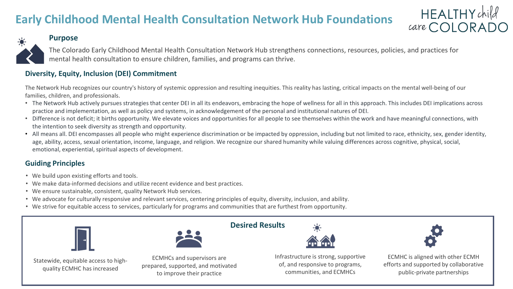## **Early Childhood Mental Health Consultation Network Hub Foundations**

# HEALTHY child<br>care COLORADO

public-private partnerships

### **Purpose**

The Colorado Early Childhood Mental Health Consultation Network Hub strengthens connections, resources, policies, and practices for mental health consultation to ensure children, families, and programs can thrive.

### **Diversity, Equity, Inclusion (DEI) Commitment**

The Network Hub recognizes our country's history of systemic oppression and resulting inequities. This reality has lasting, critical impacts on the mental well-being of our families, children, and professionals.

- The Network Hub actively pursues strategies that center DEI in all its endeavors, embracing the hope of wellness for all in this approach. This includes DEI implications across practice and implementation, as well as policy and systems, in acknowledgement of the personal and institutional natures of DEI.
- Difference is not deficit; it births opportunity. We elevate voices and opportunities for all people to see themselves within the work and have meaningful connections, with the intention to seek diversity as strength and opportunity.
- All means all. DEI encompasses all people who might experience discrimination or be impacted by oppression, including but not limited to race, ethnicity, sex, gender identity, age, ability, access, sexual orientation, income, language, and religion. We recognize our shared humanity while valuing differences across cognitive, physical, social, emotional, experiential, spiritual aspects of development.

### **Guiding Principles**

- We build upon existing efforts and tools.
- We make data-informed decisions and utilize recent evidence and best practices.
- We ensure sustainable, consistent, quality Network Hub services.
- We advocate for culturally responsive and relevant services, centering principles of equity, diversity, inclusion, and ability.
- We strive for equitable access to services, particularly for programs and communities that are furthest from opportunity.

to improve their practice

|                                                                     |                                                                  | <b>Desired Results</b>                                                                                         |                                                                                                                                                                                                                                                                                                             |
|---------------------------------------------------------------------|------------------------------------------------------------------|----------------------------------------------------------------------------------------------------------------|-------------------------------------------------------------------------------------------------------------------------------------------------------------------------------------------------------------------------------------------------------------------------------------------------------------|
|                                                                     |                                                                  | 益益                                                                                                             |                                                                                                                                                                                                                                                                                                             |
| Statewide, equitable access to high-<br>quality ECMHC has increased | ECMHCs and supervisors are<br>prepared, supported, and motivated | Infrastructure is strong, supportive<br>of, and responsive to programs,<br>$\cdots$ $\cdots$ $\cdots$ $\cdots$ | ECMHC is aligned with other ECMH<br>efforts and supported by collaborative<br>. The state of the state of the state of the state of the state of the state of the state of the state of the state of the state of the state of the state of the state of the state of the state of the state of the state o |

communities, and ECMHCs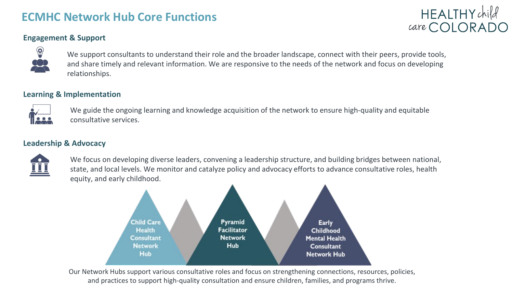### **ECMHC Network Hub Core Functions**

# HEALTHYchild  $care$  COI ORADO

### **Engagement & Support**



We support consultants to understand their role and the broader landscape, connect with their peers, provide tools, and share timely and relevant information. We are responsive to the needs of the network and focus on developing relationships.

### **Learning & Implementation**



We guide the ongoing learning and knowledge acquisition of the network to ensure high-quality and equitable consultative services.

#### **Leadership & Advocacy**



We focus on developing diverse leaders, convening a leadership structure, and building bridges between national, state, and local levels. We monitor and catalyze policy and advocacy efforts to advance consultative roles, health equity, and early childhood.



Our Network Hubs support various consultative roles and focus on strengthening connections, resources, policies, and practices to support high-quality consultation and ensure children, families, and programs thrive.